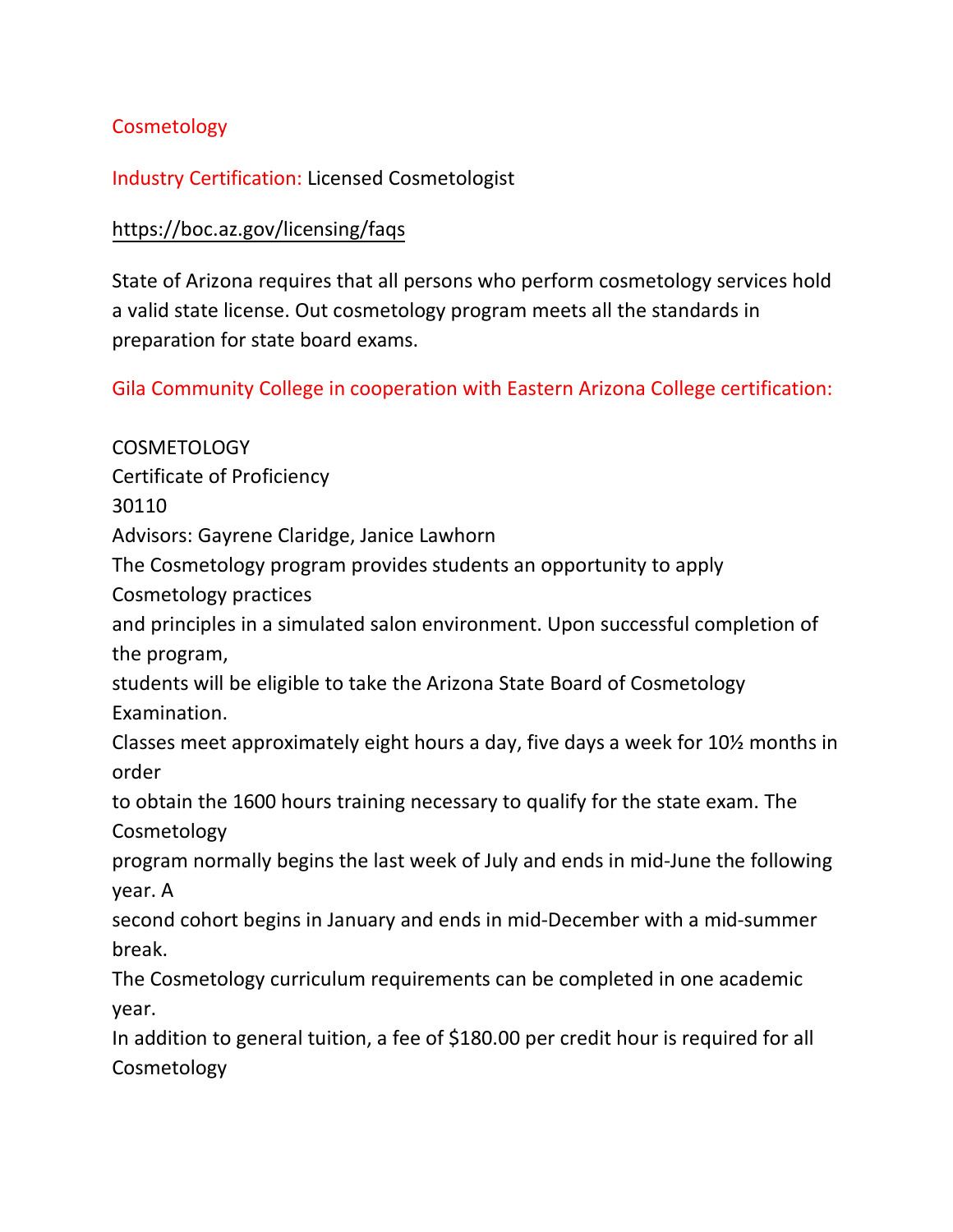## **Cosmetology**

## Industry Certification: Licensed Cosmetologist

## <https://boc.az.gov/licensing/faqs>

State of Arizona requires that all persons who perform cosmetology services hold a valid state license. Out cosmetology program meets all the standards in preparation for state board exams.

Gila Community College in cooperation with Eastern Arizona College certification:

## COSMETOLOGY Certificate of Proficiency 30110 Advisors: Gayrene Claridge, Janice Lawhorn The Cosmetology program provides students an opportunity to apply Cosmetology practices and principles in a simulated salon environment. Upon successful completion of the program, students will be eligible to take the Arizona State Board of Cosmetology Examination. Classes meet approximately eight hours a day, five days a week for 10½ months in order to obtain the 1600 hours training necessary to qualify for the state exam. The Cosmetology program normally begins the last week of July and ends in mid-June the following year. A second cohort begins in January and ends in mid-December with a mid-summer break. The Cosmetology curriculum requirements can be completed in one academic year. In addition to general tuition, a fee of \$180.00 per credit hour is required for all Cosmetology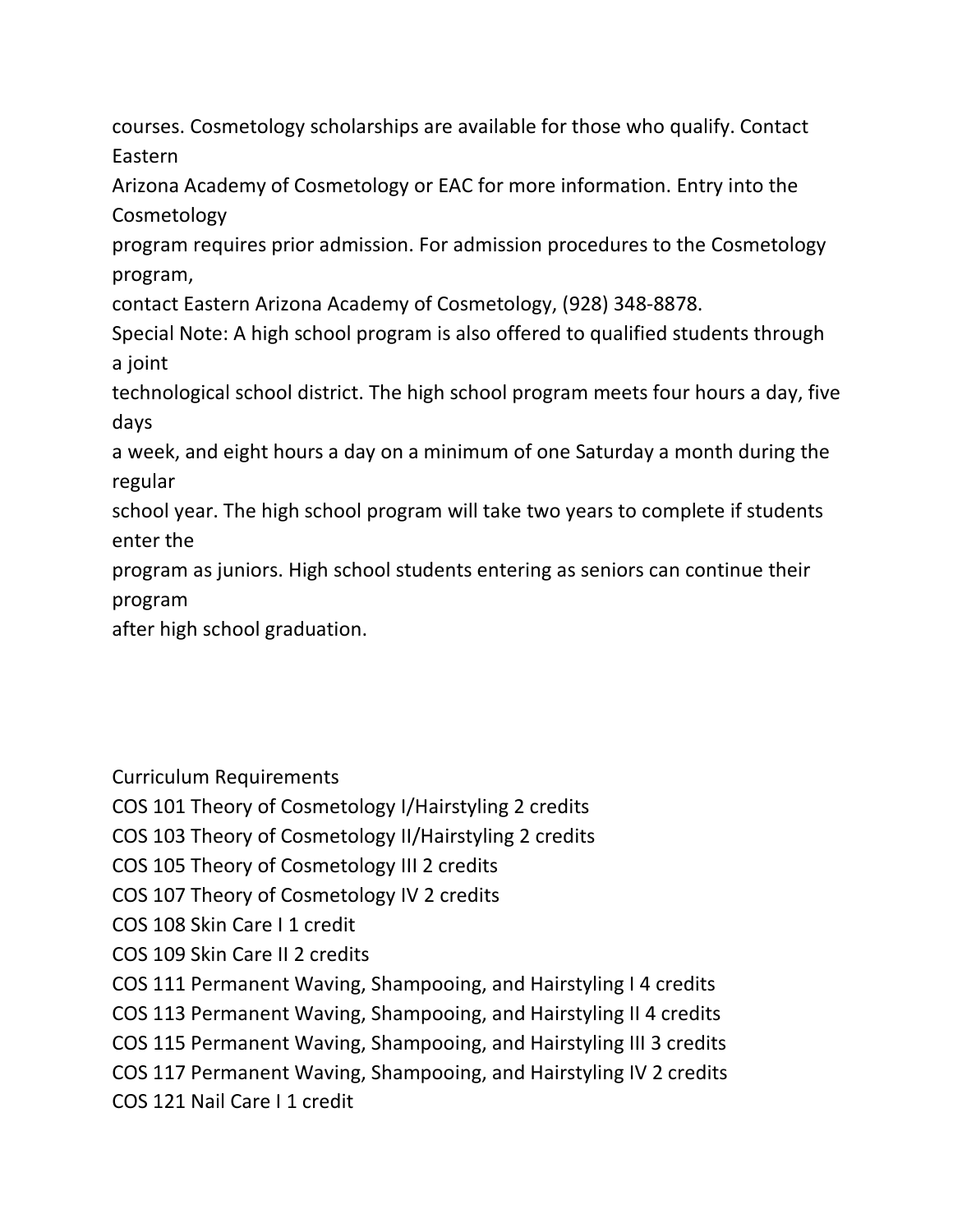courses. Cosmetology scholarships are available for those who qualify. Contact Eastern

Arizona Academy of Cosmetology or EAC for more information. Entry into the Cosmetology

program requires prior admission. For admission procedures to the Cosmetology program,

contact Eastern Arizona Academy of Cosmetology, (928) 348-8878.

Special Note: A high school program is also offered to qualified students through a joint

technological school district. The high school program meets four hours a day, five days

a week, and eight hours a day on a minimum of one Saturday a month during the regular

school year. The high school program will take two years to complete if students enter the

program as juniors. High school students entering as seniors can continue their program

after high school graduation.

Curriculum Requirements

COS 101 Theory of Cosmetology I/Hairstyling 2 credits

COS 103 Theory of Cosmetology II/Hairstyling 2 credits

COS 105 Theory of Cosmetology III 2 credits

COS 107 Theory of Cosmetology IV 2 credits

COS 108 Skin Care I 1 credit

COS 109 Skin Care II 2 credits

COS 111 Permanent Waving, Shampooing, and Hairstyling I 4 credits

COS 113 Permanent Waving, Shampooing, and Hairstyling II 4 credits

COS 115 Permanent Waving, Shampooing, and Hairstyling III 3 credits

COS 117 Permanent Waving, Shampooing, and Hairstyling IV 2 credits

COS 121 Nail Care I 1 credit